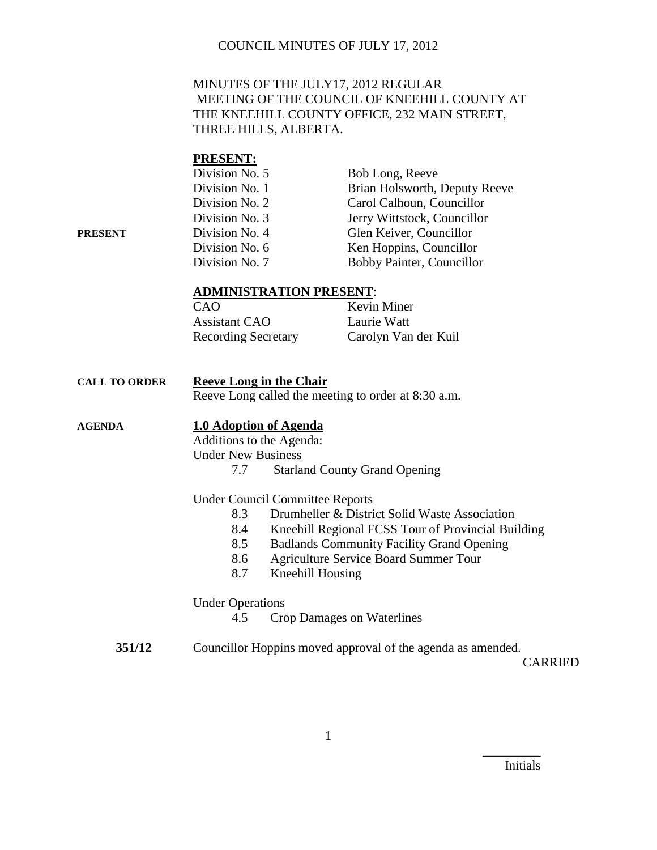## MINUTES OF THE JULY17, 2012 REGULAR MEETING OF THE COUNCIL OF KNEEHILL COUNTY AT THE KNEEHILL COUNTY OFFICE, 232 MAIN STREET, THREE HILLS, ALBERTA.

#### **PRESENT:**

|         | Division No. 5 | Bob Long, Reeve               |
|---------|----------------|-------------------------------|
|         | Division No. 1 | Brian Holsworth, Deputy Reeve |
|         | Division No. 2 | Carol Calhoun, Councillor     |
|         | Division No. 3 | Jerry Wittstock, Councillor   |
| PRESENT | Division No. 4 | Glen Keiver, Councillor       |
|         | Division No. 6 | Ken Hoppins, Councillor       |
|         | Division No. 7 | Bobby Painter, Councillor     |

#### **ADMINISTRATION PRESENT**:

| CAO                        | Kevin Miner          |
|----------------------------|----------------------|
| <b>Assistant CAO</b>       | Laurie Watt          |
| <b>Recording Secretary</b> | Carolyn Van der Kuil |

| <b>CALL TO ORDER</b> | <b>Reeve Long in the Chair</b>                      |  |
|----------------------|-----------------------------------------------------|--|
|                      | Reeve Long called the meeting to order at 8:30 a.m. |  |
| <b>AGENDA</b>        | 1.0 Adoption of Agenda                              |  |
|                      | Additions to the Agenda:                            |  |

Under New Business

7.7 Starland County Grand Opening

## Under Council Committee Reports

- 8.3 Drumheller & District Solid Waste Association
- 8.4 Kneehill Regional FCSS Tour of Provincial Building
- 8.5 Badlands Community Facility Grand Opening
- 8.6 Agriculture Service Board Summer Tour
- 8.7 Kneehill Housing

#### Under Operations

4.5 Crop Damages on Waterlines

**351/12** Councillor Hoppins moved approval of the agenda as amended.

CARRIED

Initials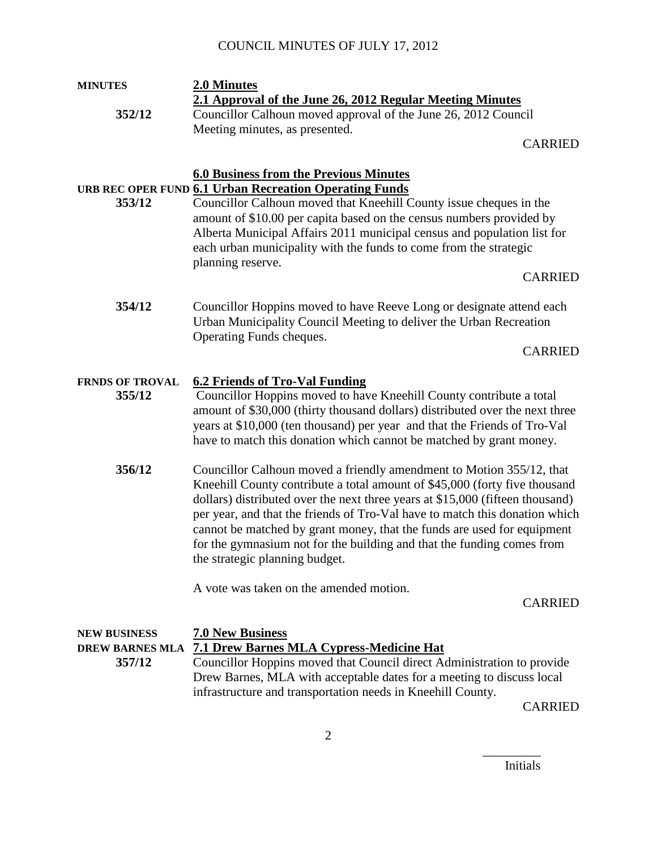## **MINUTES 2.0 Minutes 2.1 Approval of the June 26, 2012 Regular Meeting Minutes 352/12** Councillor Calhoun moved approval of the June 26, 2012 Council Meeting minutes, as presented.

CARRIED

## **6.0 Business from the Previous Minutes URB REC OPER FUND 6.1 Urban Recreation Operating Funds**

**353/12** Councillor Calhoun moved that Kneehill County issue cheques in the amount of \$10.00 per capita based on the census numbers provided by Alberta Municipal Affairs 2011 municipal census and population list for each urban municipality with the funds to come from the strategic planning reserve.

## CARRIED

**354/12** Councillor Hoppins moved to have Reeve Long or designate attend each Urban Municipality Council Meeting to deliver the Urban Recreation Operating Funds cheques.

CARRIED

## **FRNDS OF TROVAL 6.2 Friends of Tro-Val Funding**

- **355/12** Councillor Hoppins moved to have Kneehill County contribute a total amount of \$30,000 (thirty thousand dollars) distributed over the next three years at \$10,000 (ten thousand) per year and that the Friends of Tro-Val have to match this donation which cannot be matched by grant money.
- **356/12** Councillor Calhoun moved a friendly amendment to Motion 355/12, that Kneehill County contribute a total amount of \$45,000 (forty five thousand dollars) distributed over the next three years at \$15,000 (fifteen thousand) per year, and that the friends of Tro-Val have to match this donation which cannot be matched by grant money, that the funds are used for equipment for the gymnasium not for the building and that the funding comes from the strategic planning budget.

A vote was taken on the amended motion.

#### CARRIED

| <b>NEW BUSINESS</b> | <b>7.0 New Business</b>                                                |
|---------------------|------------------------------------------------------------------------|
|                     | DREW BARNES MLA 7.1 Drew Barnes MLA Cypress-Medicine Hat               |
| 357/12              | Councillor Hoppins moved that Council direct Administration to provide |
|                     | Drew Barnes, MLA with acceptable dates for a meeting to discuss local  |
|                     | infrastructure and transportation needs in Kneehill County.            |
|                     |                                                                        |

CARRIED

Initials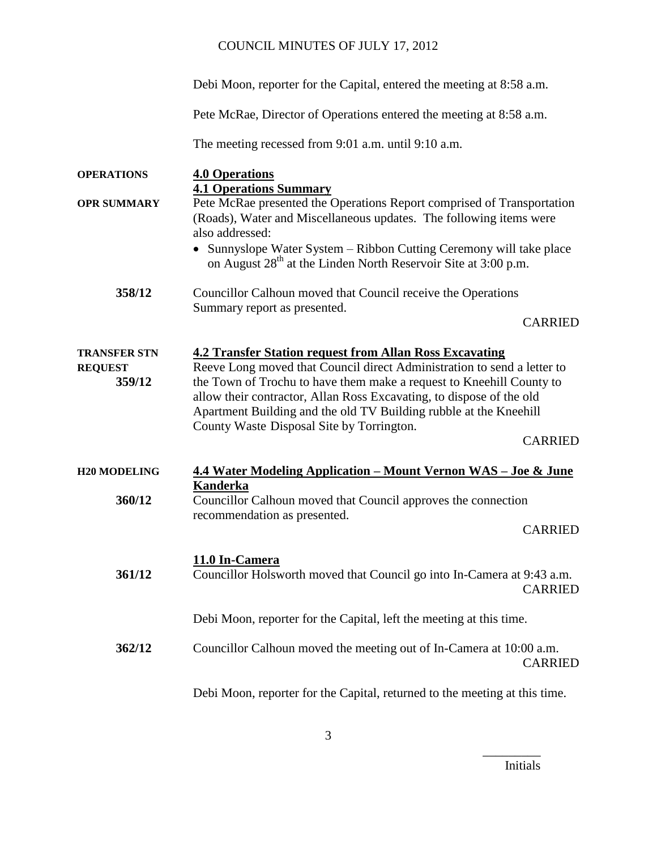Debi Moon, reporter for the Capital, entered the meeting at 8:58 a.m.

Pete McRae, Director of Operations entered the meeting at 8:58 a.m.

The meeting recessed from 9:01 a.m. until 9:10 a.m.

| <b>OPERATIONS</b>                               | <b>4.0 Operations</b>                                                                                                                                                                                                                                                                                                                                                                                                         |
|-------------------------------------------------|-------------------------------------------------------------------------------------------------------------------------------------------------------------------------------------------------------------------------------------------------------------------------------------------------------------------------------------------------------------------------------------------------------------------------------|
| <b>OPR SUMMARY</b>                              | <b>4.1 Operations Summary</b><br>Pete McRae presented the Operations Report comprised of Transportation<br>(Roads), Water and Miscellaneous updates. The following items were<br>also addressed:<br>Sunnyslope Water System - Ribbon Cutting Ceremony will take place<br>on August 28 <sup>th</sup> at the Linden North Reservoir Site at 3:00 p.m.                                                                           |
| 358/12                                          | Councillor Calhoun moved that Council receive the Operations<br>Summary report as presented.<br><b>CARRIED</b>                                                                                                                                                                                                                                                                                                                |
| <b>TRANSFER STN</b><br><b>REQUEST</b><br>359/12 | <b>4.2 Transfer Station request from Allan Ross Excavating</b><br>Reeve Long moved that Council direct Administration to send a letter to<br>the Town of Trochu to have them make a request to Kneehill County to<br>allow their contractor, Allan Ross Excavating, to dispose of the old<br>Apartment Building and the old TV Building rubble at the Kneehill<br>County Waste Disposal Site by Torrington.<br><b>CARRIED</b> |
| <b>H20 MODELING</b>                             | 4.4 Water Modeling Application – Mount Vernon WAS – Joe & June                                                                                                                                                                                                                                                                                                                                                                |
| 360/12                                          | <b>Kanderka</b><br>Councillor Calhoun moved that Council approves the connection<br>recommendation as presented.<br><b>CARRIED</b>                                                                                                                                                                                                                                                                                            |
| 361/12                                          | 11.0 In-Camera<br>Councillor Holsworth moved that Council go into In-Camera at 9:43 a.m.<br><b>CARRIED</b>                                                                                                                                                                                                                                                                                                                    |
|                                                 | Debi Moon, reporter for the Capital, left the meeting at this time.                                                                                                                                                                                                                                                                                                                                                           |
| 362/12                                          | Councillor Calhoun moved the meeting out of In-Camera at 10:00 a.m.<br><b>CARRIED</b>                                                                                                                                                                                                                                                                                                                                         |
|                                                 | Debi Moon, reporter for the Capital, returned to the meeting at this time.                                                                                                                                                                                                                                                                                                                                                    |

Initials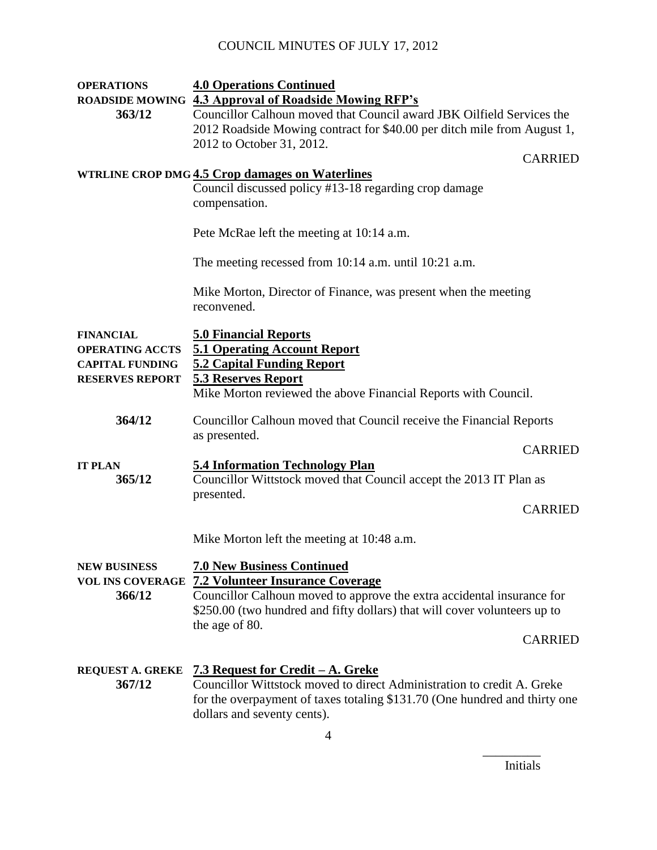| <b>OPERATIONS</b>                                                                              | <b>4.0 Operations Continued</b>                                                                                                                                                                                                                                         |
|------------------------------------------------------------------------------------------------|-------------------------------------------------------------------------------------------------------------------------------------------------------------------------------------------------------------------------------------------------------------------------|
| 363/12                                                                                         | ROADSIDE MOWING 4.3 Approval of Roadside Mowing RFP's<br>Councillor Calhoun moved that Council award JBK Oilfield Services the<br>2012 Roadside Mowing contract for \$40.00 per ditch mile from August 1,<br>2012 to October 31, 2012.                                  |
|                                                                                                | <b>CARRIED</b>                                                                                                                                                                                                                                                          |
|                                                                                                | <b>WTRLINE CROP DMG 4.5 Crop damages on Waterlines</b><br>Council discussed policy #13-18 regarding crop damage<br>compensation.                                                                                                                                        |
|                                                                                                | Pete McRae left the meeting at 10:14 a.m.                                                                                                                                                                                                                               |
|                                                                                                | The meeting recessed from 10:14 a.m. until 10:21 a.m.                                                                                                                                                                                                                   |
|                                                                                                | Mike Morton, Director of Finance, was present when the meeting<br>reconvened.                                                                                                                                                                                           |
| <b>FINANCIAL</b><br><b>OPERATING ACCTS</b><br><b>CAPITAL FUNDING</b><br><b>RESERVES REPORT</b> | <b>5.0 Financial Reports</b><br><b>5.1 Operating Account Report</b><br><b>5.2 Capital Funding Report</b><br><b>5.3 Reserves Report</b><br>Mike Morton reviewed the above Financial Reports with Council.                                                                |
| 364/12                                                                                         | Councillor Calhoun moved that Council receive the Financial Reports<br>as presented.                                                                                                                                                                                    |
|                                                                                                | <b>CARRIED</b>                                                                                                                                                                                                                                                          |
| <b>IT PLAN</b><br>365/12                                                                       | <b>5.4 Information Technology Plan</b><br>Councillor Wittstock moved that Council accept the 2013 IT Plan as                                                                                                                                                            |
|                                                                                                | presented.<br><b>CARRIED</b>                                                                                                                                                                                                                                            |
|                                                                                                | Mike Morton left the meeting at 10:48 a.m.                                                                                                                                                                                                                              |
| <b>NEW BUSINESS</b><br><b>VOL INS COVERAGE</b><br>366/12                                       | <b>7.0 New Business Continued</b><br><b>7.2 Volunteer Insurance Coverage</b><br>Councillor Calhoun moved to approve the extra accidental insurance for<br>\$250.00 (two hundred and fifty dollars) that will cover volunteers up to<br>the age of 80.<br><b>CARRIED</b> |
| <b>REQUEST A. GREKE</b><br>367/12                                                              | 7.3 Request for Credit – A. Greke<br>Councillor Wittstock moved to direct Administration to credit A. Greke<br>for the overpayment of taxes totaling \$131.70 (One hundred and thirty one<br>dollars and seventy cents).<br>$\overline{4}$                              |
|                                                                                                |                                                                                                                                                                                                                                                                         |

Initials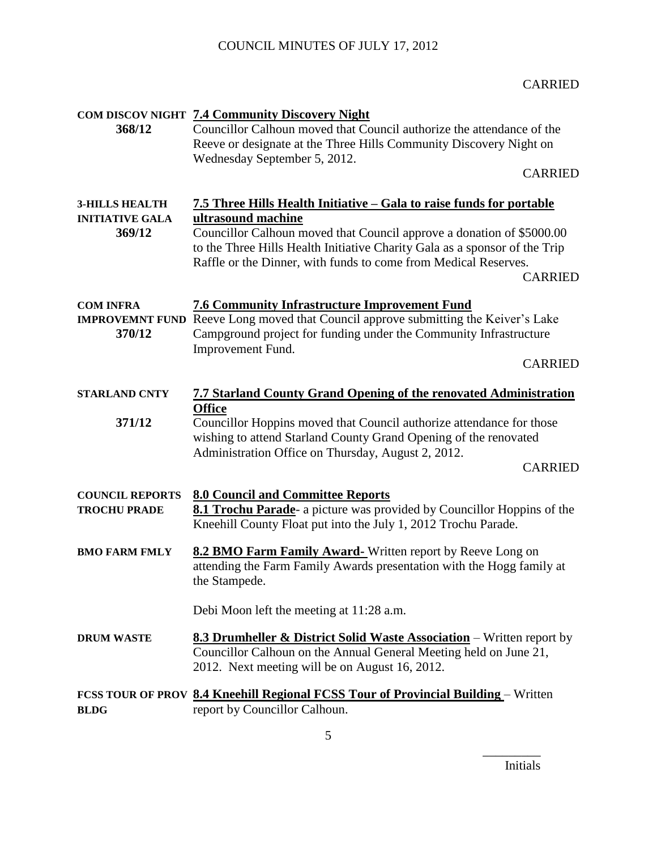## CARRIED

|                        | <b>COM DISCOV NIGHT 7.4 Community Discovery Night</b>                                                                                                                                                                                    |
|------------------------|------------------------------------------------------------------------------------------------------------------------------------------------------------------------------------------------------------------------------------------|
| 368/12                 | Councillor Calhoun moved that Council authorize the attendance of the                                                                                                                                                                    |
|                        | Reeve or designate at the Three Hills Community Discovery Night on                                                                                                                                                                       |
|                        | Wednesday September 5, 2012.                                                                                                                                                                                                             |
|                        | <b>CARRIED</b>                                                                                                                                                                                                                           |
|                        |                                                                                                                                                                                                                                          |
| <b>3-HILLS HEALTH</b>  | 7.5 Three Hills Health Initiative - Gala to raise funds for portable                                                                                                                                                                     |
| <b>INITIATIVE GALA</b> | ultrasound machine                                                                                                                                                                                                                       |
| 369/12                 | Councillor Calhoun moved that Council approve a donation of \$5000.00<br>to the Three Hills Health Initiative Charity Gala as a sponsor of the Trip<br>Raffle or the Dinner, with funds to come from Medical Reserves.<br><b>CARRIED</b> |
| <b>COM INFRA</b>       | <b>7.6 Community Infrastructure Improvement Fund</b>                                                                                                                                                                                     |
|                        | <b>IMPROVEMNT FUND</b> Reeve Long moved that Council approve submitting the Keiver's Lake                                                                                                                                                |
| 370/12                 | Campground project for funding under the Community Infrastructure                                                                                                                                                                        |
|                        | Improvement Fund.                                                                                                                                                                                                                        |
|                        | <b>CARRIED</b>                                                                                                                                                                                                                           |
|                        |                                                                                                                                                                                                                                          |
| <b>STARLAND CNTY</b>   | <b>7.7 Starland County Grand Opening of the renovated Administration</b>                                                                                                                                                                 |
| 371/12                 | <b>Office</b><br>Councillor Hoppins moved that Council authorize attendance for those                                                                                                                                                    |
|                        | wishing to attend Starland County Grand Opening of the renovated                                                                                                                                                                         |
|                        | Administration Office on Thursday, August 2, 2012.                                                                                                                                                                                       |
|                        | <b>CARRIED</b>                                                                                                                                                                                                                           |
|                        |                                                                                                                                                                                                                                          |
| <b>COUNCIL REPORTS</b> | <b>8.0 Council and Committee Reports</b>                                                                                                                                                                                                 |
| <b>TROCHU PRADE</b>    | 8.1 Trochu Parade- a picture was provided by Councillor Hoppins of the                                                                                                                                                                   |
|                        | Kneehill County Float put into the July 1, 2012 Trochu Parade.                                                                                                                                                                           |
| <b>BMO FARM FMLY</b>   | <b>8.2 BMO Farm Family Award-</b> Written report by Reeve Long on                                                                                                                                                                        |
|                        | attending the Farm Family Awards presentation with the Hogg family at                                                                                                                                                                    |
|                        | the Stampede.                                                                                                                                                                                                                            |
|                        |                                                                                                                                                                                                                                          |
|                        | Debi Moon left the meeting at 11:28 a.m.                                                                                                                                                                                                 |
| <b>DRUM WASTE</b>      | 8.3 Drumheller & District Solid Waste Association - Written report by                                                                                                                                                                    |
|                        | Councillor Calhoun on the Annual General Meeting held on June 21,                                                                                                                                                                        |
|                        | 2012. Next meeting will be on August 16, 2012.                                                                                                                                                                                           |
|                        |                                                                                                                                                                                                                                          |
| <b>BLDG</b>            | FCSS TOUR OF PROV 8.4 Kneehill Regional FCSS Tour of Provincial Building - Written<br>report by Councillor Calhoun.                                                                                                                      |
|                        |                                                                                                                                                                                                                                          |

Initials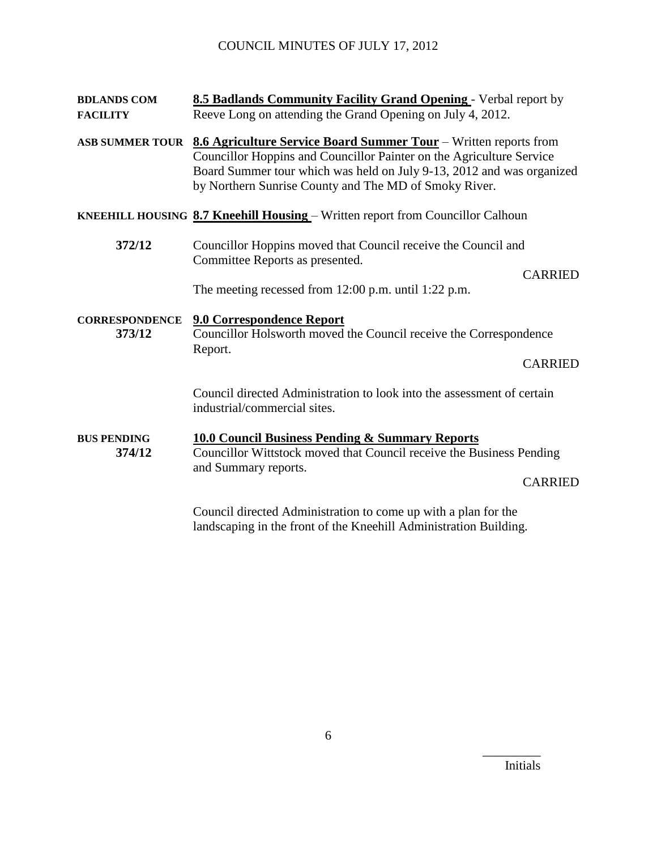## **BDLANDS COM 8.5 Badlands Community Facility Grand Opening** - Verbal report by **FACILITY** Reeve Long on attending the Grand Opening on July 4, 2012.

**ASB SUMMER TOUR 8.6 Agriculture Service Board Summer Tour** – Written reports from Councillor Hoppins and Councillor Painter on the Agriculture Service Board Summer tour which was held on July 9-13, 2012 and was organized by Northern Sunrise County and The MD of Smoky River.

#### **KNEEHILL HOUSING 8.7 Kneehill Housing** – Written report from Councillor Calhoun

**372/12** Councillor Hoppins moved that Council receive the Council and Committee Reports as presented.

CARRIED

The meeting recessed from 12:00 p.m. until 1:22 p.m.

**CORRESPONDENCE 9.0 Correspondence Report 373/12** Councillor Holsworth moved the Council receive the Correspondence Report.

CARRIED

Council directed Administration to look into the assessment of certain industrial/commercial sites.

## **BUS PENDING 10.0 Council Business Pending & Summary Reports 374/12** Councillor Wittstock moved that Council receive the Business Pending and Summary reports.

CARRIED

Council directed Administration to come up with a plan for the landscaping in the front of the Kneehill Administration Building.